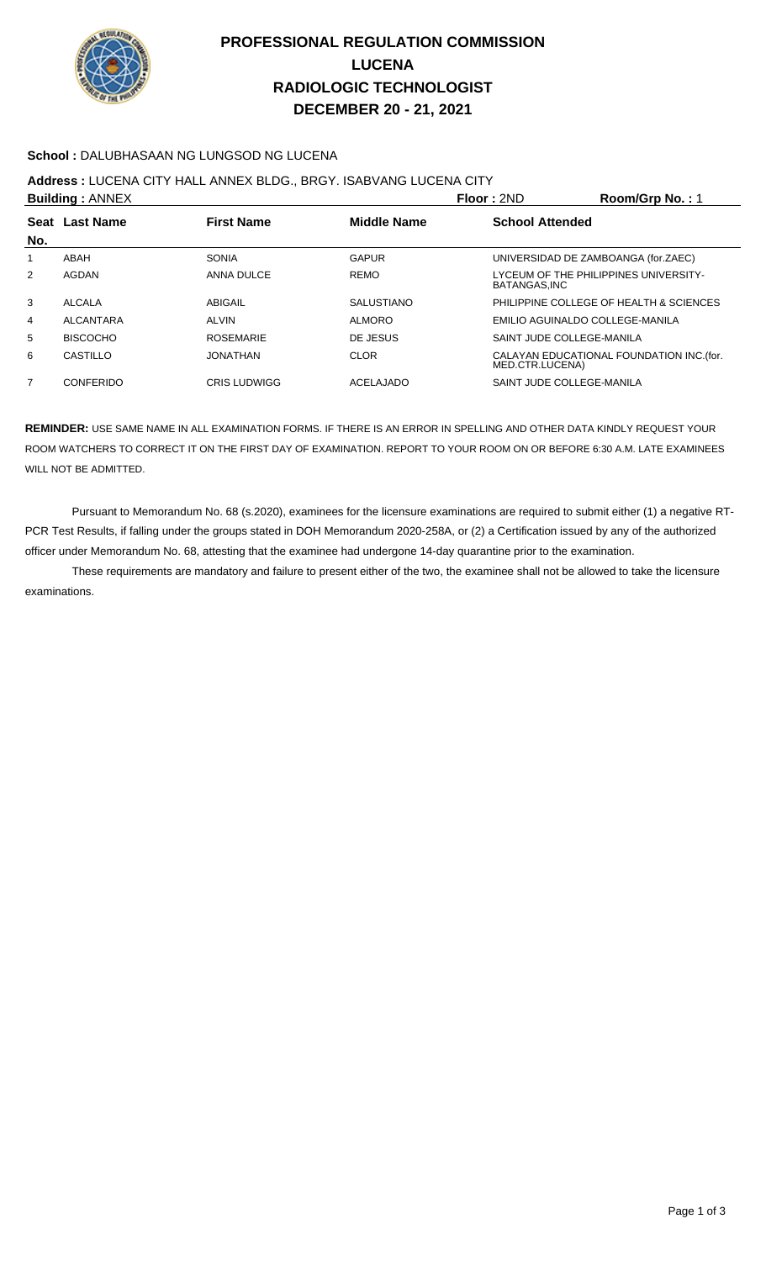

# **PROFESSIONAL REGULATION COMMISSION LUCENA RADIOLOGIC TECHNOLOGIST DECEMBER 20 - 21, 2021**

## **School :** DALUBHASAAN NG LUNGSOD NG LUCENA

**Address :** LUCENA CITY HALL ANNEX BLDG., BRGY. ISABVANG LUCENA CITY

| <b>Building: ANNEX</b> |                 |                     |                   | Floor: 2ND                                            | Room/Grp No.: 1                           |
|------------------------|-----------------|---------------------|-------------------|-------------------------------------------------------|-------------------------------------------|
| No.                    | Seat Last Name  | <b>First Name</b>   | Middle Name       | <b>School Attended</b>                                |                                           |
| 1                      | ABAH            | SONIA               | GAPUR             | UNIVERSIDAD DE ZAMBOANGA (for.ZAEC)                   |                                           |
| 2                      | AGDAN           | ANNA DULCE          | <b>REMO</b>       | LYCEUM OF THE PHILIPPINES UNIVERSITY-<br>BATANGAS.INC |                                           |
| 3                      | <b>ALCALA</b>   | ABIGAIL             | <b>SALUSTIANO</b> |                                                       | PHILIPPINE COLLEGE OF HEALTH & SCIENCES   |
| 4                      | ALCANTARA       | <b>ALVIN</b>        | <b>ALMORO</b>     | EMILIO AGUINALDO COLLEGE-MANILA                       |                                           |
| 5                      | <b>BISCOCHO</b> | <b>ROSEMARIE</b>    | DE JESUS          | SAINT JUDE COLLEGE-MANILA                             |                                           |
| 6                      | CASTILLO        | JONATHAN            | <b>CLOR</b>       | MED.CTR.LUCENA)                                       | CALAYAN EDUCATIONAL FOUNDATION INC. (for. |
| 7                      | CONFERIDO       | <b>CRIS LUDWIGG</b> | ACELAJADO         | SAINT JUDE COLLEGE-MANILA                             |                                           |
|                        |                 |                     |                   |                                                       |                                           |

**REMINDER:** USE SAME NAME IN ALL EXAMINATION FORMS. IF THERE IS AN ERROR IN SPELLING AND OTHER DATA KINDLY REQUEST YOUR ROOM WATCHERS TO CORRECT IT ON THE FIRST DAY OF EXAMINATION. REPORT TO YOUR ROOM ON OR BEFORE 6:30 A.M. LATE EXAMINEES WILL NOT BE ADMITTED.

 Pursuant to Memorandum No. 68 (s.2020), examinees for the licensure examinations are required to submit either (1) a negative RT-PCR Test Results, if falling under the groups stated in DOH Memorandum 2020-258A, or (2) a Certification issued by any of the authorized officer under Memorandum No. 68, attesting that the examinee had undergone 14-day quarantine prior to the examination.

 These requirements are mandatory and failure to present either of the two, the examinee shall not be allowed to take the licensure examinations.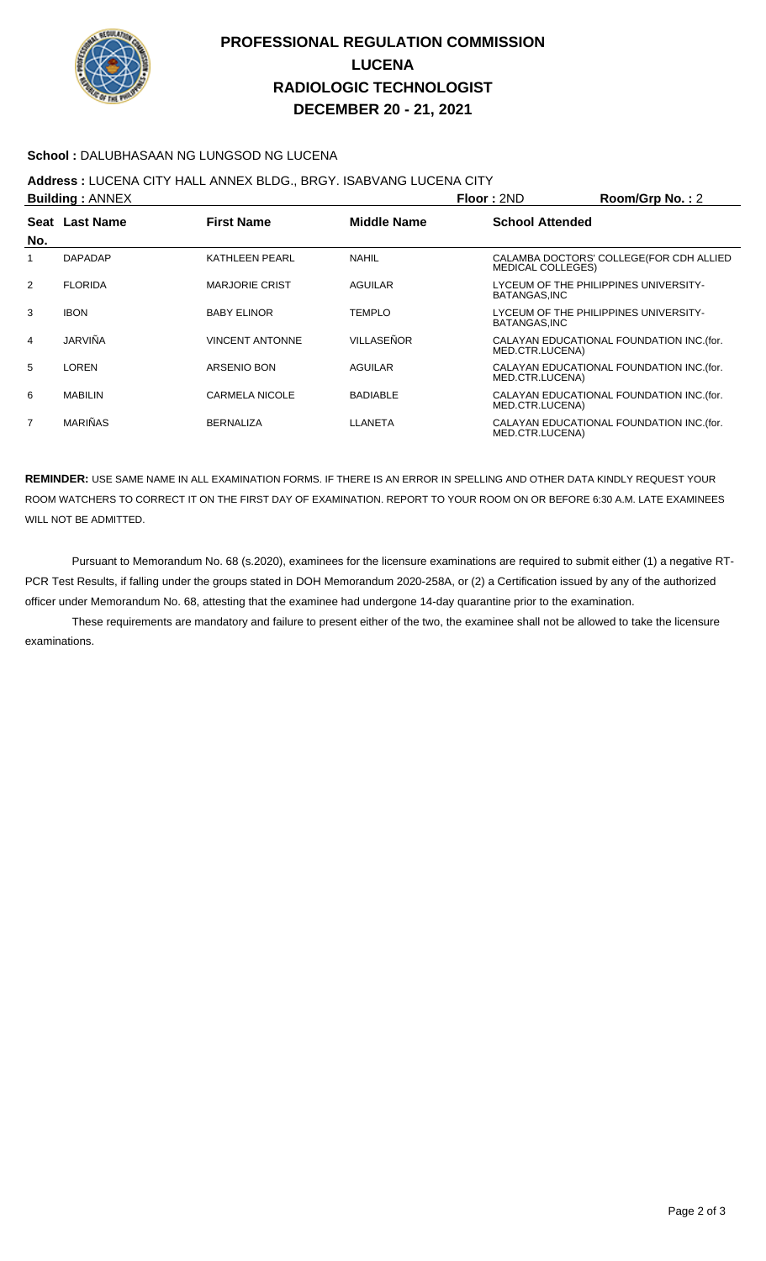

# **PROFESSIONAL REGULATION COMMISSION LUCENA RADIOLOGIC TECHNOLOGIST DECEMBER 20 - 21, 2021**

## **School :** DALUBHASAAN NG LUNGSOD NG LUCENA

**Address :** LUCENA CITY HALL ANNEX BLDG., BRGY. ISABVANG LUCENA CITY

|                | <b>Building: ANNEX</b> |                        |                    | Floor: 2ND               | Room/Grp No.: 2                           |
|----------------|------------------------|------------------------|--------------------|--------------------------|-------------------------------------------|
| No.            | Seat Last Name         | <b>First Name</b>      | <b>Middle Name</b> | <b>School Attended</b>   |                                           |
| 1              | <b>DAPADAP</b>         | <b>KATHLEEN PEARL</b>  | <b>NAHIL</b>       | <b>MEDICAL COLLEGES)</b> | CALAMBA DOCTORS' COLLEGE (FOR CDH ALLIED  |
| 2              | <b>FLORIDA</b>         | <b>MARJORIE CRIST</b>  | <b>AGUILAR</b>     | BATANGAS.INC             | LYCEUM OF THE PHILIPPINES UNIVERSITY-     |
| 3              | <b>IBON</b>            | <b>BABY ELINOR</b>     | <b>TEMPLO</b>      | BATANGAS, INC            | LYCEUM OF THE PHILIPPINES UNIVERSITY-     |
| 4              | JARVIÑA                | <b>VINCENT ANTONNE</b> | VILLASEÑOR         | MED.CTR.LUCENA)          | CALAYAN EDUCATIONAL FOUNDATION INC. (for. |
| 5              | LOREN                  | ARSENIO BON            | <b>AGUILAR</b>     | MED.CTR.LUCENA)          | CALAYAN EDUCATIONAL FOUNDATION INC. (for. |
| 6              | <b>MABILIN</b>         | <b>CARMELA NICOLE</b>  | <b>BADIABLE</b>    | MED.CTR.LUCENA)          | CALAYAN EDUCATIONAL FOUNDATION INC. (for. |
| $\overline{7}$ | <b>MARIÑAS</b>         | <b>BERNALIZA</b>       | LLANETA            | MED.CTR.LUCENA)          | CALAYAN EDUCATIONAL FOUNDATION INC. (for. |

**REMINDER:** USE SAME NAME IN ALL EXAMINATION FORMS. IF THERE IS AN ERROR IN SPELLING AND OTHER DATA KINDLY REQUEST YOUR ROOM WATCHERS TO CORRECT IT ON THE FIRST DAY OF EXAMINATION. REPORT TO YOUR ROOM ON OR BEFORE 6:30 A.M. LATE EXAMINEES WILL NOT BE ADMITTED.

 Pursuant to Memorandum No. 68 (s.2020), examinees for the licensure examinations are required to submit either (1) a negative RT-PCR Test Results, if falling under the groups stated in DOH Memorandum 2020-258A, or (2) a Certification issued by any of the authorized officer under Memorandum No. 68, attesting that the examinee had undergone 14-day quarantine prior to the examination.

 These requirements are mandatory and failure to present either of the two, the examinee shall not be allowed to take the licensure examinations.